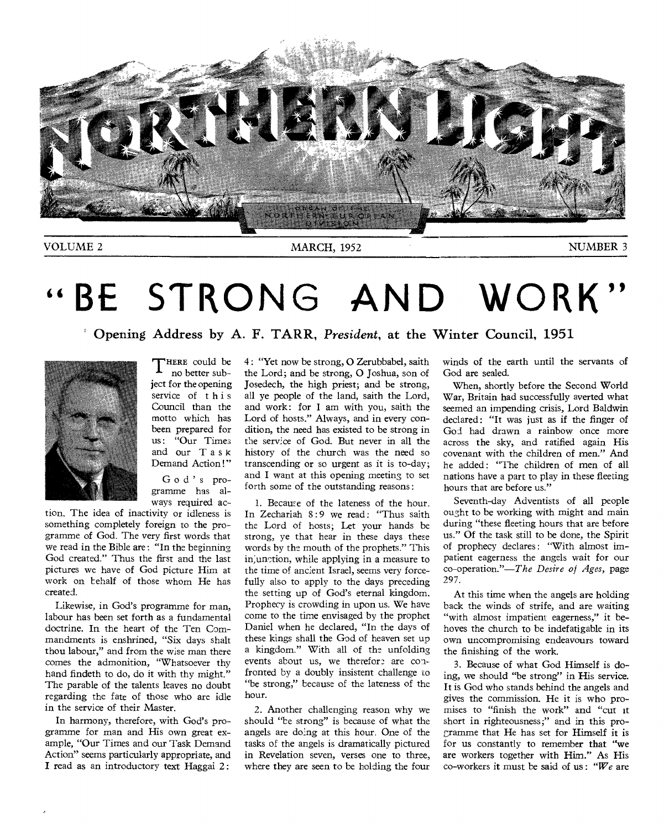

VOLUME 2 MARCH, 1952 MARCH, 1952

# **"BE STRONG AND WORK"**

Opening Address by A. F. TARR, *President,* at the Winter Council, 1951



**THERE** could be no better subject for the opening service of this Council than the motto which has been prepared for us: "Our Times and our Task Demand Action!"

God's programme has always required ac-

tion, The idea of inactivity or idleness is something completely foreign to the programme of God. The very first words that we read in the Bible are : "In the beginning God created." Thus the first and the last pictures we have of God picture Him at work on behalf of those whom He has created.

Likewise, in God's programme for man, labour has been set forth as a fundamental doctrine. In the heart of the Ten Commandments is enshrined, "Six days shalt thou labour," and from the wise man there comes the admonition, "Whatsoever thy hand findeth to do, do it with thy might." The parable of the talents leaves no doubt regarding the fate of those who are idle in the service of their Master.

In harmony, therefore, with God's programme for man and His own great example, "Our Times and our Task Demand Action" seems particularly appropriate, and I read as an introductory text Haggai 2:

4 : "Yet now be strong, 0 Zerubbabel, saith the Lord; and be strong, 0 Joshua, son of Josedech, the high priest; and be strong, all ye people of the land, saith the Lord, and work: for I am with you, saith the Lord of hosts." Always, and in every condition, the need has existed to be strong in the service of God. But never in all the history of the church was the need so transcending or so urgent as it is to-day; and I want at this opening meeting to set forth some of the outstanding reasons:

I. Because of the lateness of the hour. In Zechariah 8:9 we read: "Thus saith the Lord of hosts; Let your hands be strong, ye that hear in these days these words by the mouth of the prophets." This in, unction, while applying in a measure to the time of ancient Israel, seems very forcefully also to apply to the days preceding the setting up of God's eternal kingdom. Prophecy is crowding in upon us. We have come to the time envisaged by the prophet Daniel when he declared, "In the days of these kings shall the God of heaven set up a kingdom." With all of the unfolding events about us, we therefore are confronted by a doubly insistent challenge to "be strong," because of the lateness of the hour.

2. Another challenging reason why we should "be strong" is because of what the angels are doing at this hour. One of the tasks of the angels is dramatically pictured in Revelation seven, verses one to three, where they are seen to be holding the four winds of the earth until the servants of God are sealed.

When, shortly before the Second World War, Britain had successfully averted what seemed an impending crisis, Lord Baldwin declared: "It was just as if the finger of God had drawn a rainbow once more across the sky, and ratified again His covenant with the children of men." And he added: "The children of men of all nations have a part to play in these fleeting hours that are before us."

Seventh-day Adventists of all people ought to be working with might and main during "these fleeting hours that are before us." Of the task still to be done, the Spirit of prophecy declares: "With almost impatient eagerness the angels wait for our co-operation."—The *Desire of Ages,* page 297.

At this time when the angels are holding back the winds of strife, and are waiting "with almost impatient eagerness," it behoves the church to be indefatigable in its own uncompromising endeavours toward the finishing of the work.

3. Because of what God Himself is doing, we should "be strong" in His service. It is God who stands behind the angels and gives the commission. He it is who promises to "finish the work" and "cut it short in righteousness;" and in this programme that He has set for Himself it is for us constantly to remember that "we are workers together with Him." As His co-workers it must be said of us : *"We are*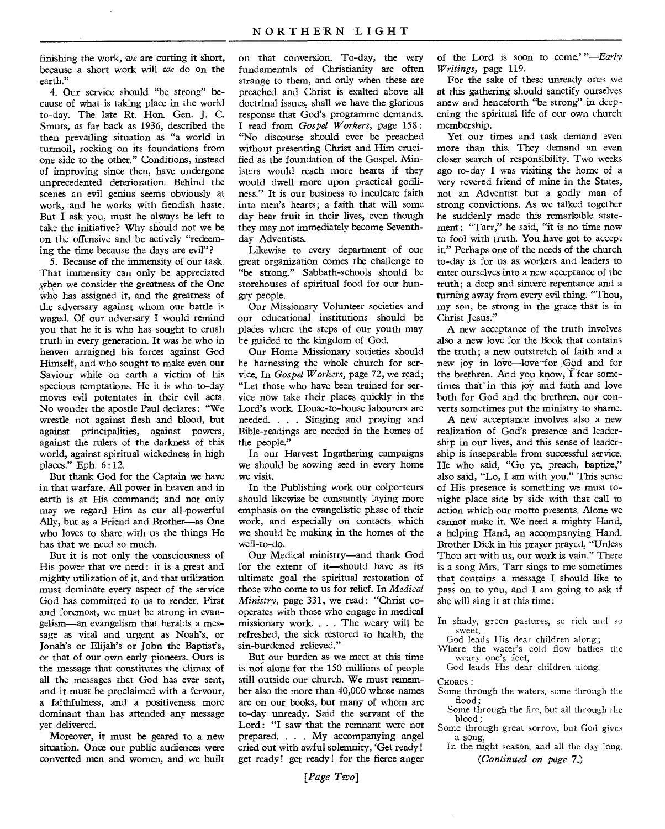finishing the work, *we* are cutting it short, because a short work will *we* do on the earth."

4. Our service should "be strong" because of what is taking place in the world to-day. The late Rt. Hon. Gen. J. C. Smuts, as far back as 1936, described the then prevailing situation as "a world in turmoil, rocking on its foundations from one side to the other." Conditions, instead of improving since then, have undergone unprecedented deterioration. Behind the scenes an evil genius seems obviously at work, and he works with fiendish haste. But I ask you, must he always be left to take the initiative? Why should not we be on the offensive and be actively "redeeming the time because the days are evil"?

5. Because of the immensity of our task. That immensity can only be appreciated when we consider the greatness of the One who has assigned it, and the greatness of the adversary against whom our battle is waged. Of our adversary I would remind you that he it is who has sought to crush truth in every generation. It was he who in heaven arraigned his forces against God Himself, and who sought to make even our Saviour while on earth a victim of his specious temptations. He it is who to-day moves evil potentates in their evil acts. No wonder the apostle Paul declares : "We wrestle not against flesh and blood, but against principalities, against powers, against the rulers of the darkness of this world, against spiritual wickedness in high places." Eph. 6: 12.

But thank God for the Captain we have in that warfare. All power in heaven and in earth is at His command; and not only may we regard Him as our all-powerful Ally, but as a Friend and Brother—as One who loves to share with us the things He has that we need so much.

But it is not only the consciousness of His power that we need: it is a great and mighty utilization of it, and that utilization must dominate every aspect of the service God has committed to us to render. First and foremost, we must be strong in evangelism—an evangelism that heralds a message as vital and urgent as Noah's, or Jonah's or Elijah's or John the Baptist's, or that of our own early pioneers. Ours is the message that constitutes the climax of all the messages that God has ever sent, and it must be proclaimed with a fervour, a faithfulness, and a positiveness more dominant than has attended any message yet delivered.

Moreover, it must be geared to a new situation. Once our public audiences were converted men and women, and we built

on that conversion. To-day, the very fundamentals of Christianity are often strange to them, and only when these are preached and Christ is exalted above all doctrinal issues, shall we have the glorious response that God's programme demands. I read from *Gospel Workers,* page 158: "No discourse should ever be preached without presenting Christ and Him crucified as the foundation of the Gospel. Ministers would reach more hearts if they would dwell more upon practical godliness." It is our business to inculcate faith into men's hearts; a faith that will some day bear fruit in their lives, even though they may not immediately become Seventhday Adventists.

Likewise to every department of our great organization comes the challenge to "be strong." Sabbath-schools should be storehouses of spiritual food for our hungry people.

Our Missionary Volunteer societies and our educational institutions should be places where the steps of our youth may be guided to the kingdom of God.

Our Home Missionary societies should be harnessing the whole church for service. In *Gospel Workers,* page 72, we read; "Let those who have been trained for service now take their places quickly in the Lord's work. House-to-house labourers are needed. . . . Singing and praying and Bible-readings are needed in the homes of the people."

In our Harvest Ingathering campaigns we should be sowing seed in every home we visit.

In the Publishing work our colporteurs should likewise be constantly laying more emphasis on the evangelistic phase of their work, and especially on contacts which we should be making in the homes of the well-to-do.

Our Medical ministry—and thank God for the extent of it—should have as its ultimate goal the spiritual restoration of those who come to us for relief. In *Medical Ministry*, page 331, we read: "Christ cooperates with those who engage in medical missionary work. . . . The weary will be refreshed, the sick restored to health, the sin-burdened relieved."

But our burden as we meet at this time is not alone for the 150 millions of people still outside our church. We must remember also the more than 40,000 whose names are on our books, but many of whom are to-day unready. Said the servant of the Lord: "I saw that the remnant were not prepared. . . . My accompanying angel cried out with awful solemnity, 'Get ready ! get ready ! get ready ! for the fierce anger

of the Lord is soon to come.' *"—Early Writings,* page 119.

For the sake of these unready ones we at this gathering should sanctify ourselves anew and henceforth "be strong" in deepening the spiritual life of our own church membership.

Yet our times and task demand even more than this. They demand an even closer search of responsibility. Two weeks ago to-day I was visiting the home of a very revered friend of mine in the States, not an Adventist but a godly man of strong convictions. As we talked together he suddenly made this remarkable statement: "Tarr," he said, "it is no time now to fool with truth. You have got to accept it." Perhaps one of the needs of the church to-day is for us as workers and leaders to enter ourselves into a new acceptance of the truth; a deep and sincere repentance and a turning away from every evil thing. "Thou, my son, be strong in the grace that is in Christ Jesus."

A new acceptance of the truth involves also a new love for the Book that contains the truth; a new outstretch of faith and a new joy in love—love -for God and for the brethren. And you know, I fear sometimes that in this joy and faith and love both for God and the brethren, our converts sometimes put the ministry to shame.

A new acceptance involves also a new realization of God's presence and leadership in our lives, and this sense of leadership is inseparable from successful service. He who said, "Go ye, preach, baptize," also said, "Lo, I am with you." This sense of His presence is something we must tonight place side by side with that call to action which our motto presents. Alone we cannot make it. We need a mighty Hand, a helping Hand, an accompanying Hand. Brother Dick in his prayer prayed, "Unless Thou art with us, our work is vain." There is a song Mrs. Tarr sings to me sometimes that contains a message I should like to pass on to you, and I am going to ask if she will sing it at this time :

- In shady, green pastures, so rich and so sweet,
- God leads His dear children along;
- Where the water's cold flow bathes the weary one's feet,

God leads His dear children along.

CHORUS :

- Some through the waters, some through the flood;
- Some through the fire, but all through the blood ;
- Some through great sorrow, but God gives a song,

In the night season, and all the day long. *(Continued on page* 7.)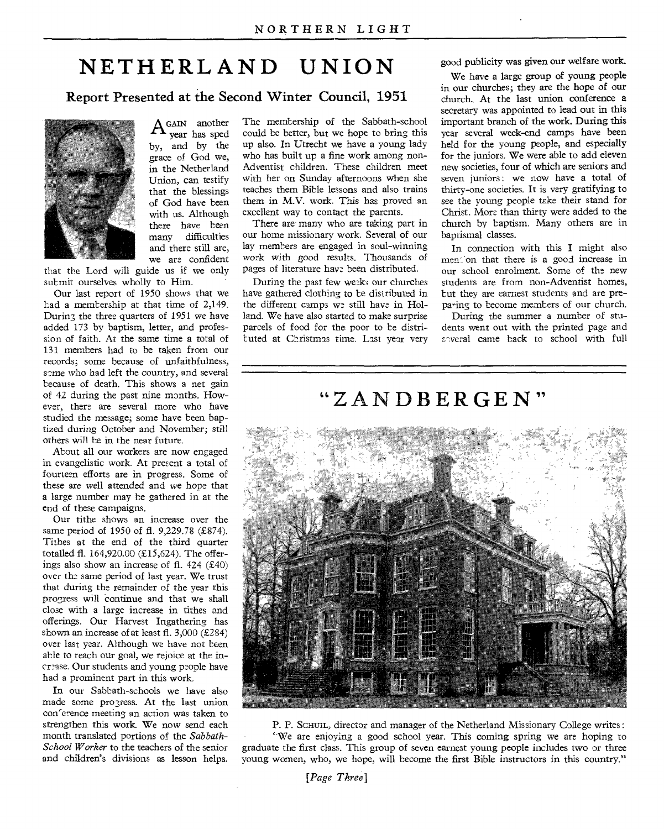## **NETHERLAND UNION**

### Report Presented at the Second Winter Council, 1951



 $A_{\rm year\ has\ speed}^{\rm GAIN}$ by, and by the grace of God we, in the Netherland Union, can testify that the blessings of God have been with us. Although there have been many difficulties and there still are, we are confident

that the Lord will guide us if we only submit ourselves wholly to Him.

Our last report of 1950 shows that we had a membership at that time of 2,149. During the three quarters of 1951 we have added 173 by baptism, letter, and profession of faith. At the same time a total of 131 members had to be taken from our records; some because of unfaithfulness, some who had left the country, and several because of death. This shows a net gain of 42 during the past nine months. However, there are several more who have studied the message; some have been baptized during October and November; still others will be in the near future.

About all our workers are now engaged in evangelistic work. At present a total of fourteen efforts are in progress. Some of these are well attended and we hope that a large number may be gathered in at the end of these campaigns.

Our tithe shows an increase over the same period of 1950 of fl. 9,229.78 (£874). Tithes at the end of the third quarter totalled fl. 164,920.00 (£15,624). The offerings also show an increase of fl. 424 (£40) over the same period of last year. We trust that during the remainder of the year this progress will continue and that we shall close with a large increase in tithes and offerings. Our Harvest Ingathering has shown an increase of at least fl. 3,000 (£284) over last year. Although we have not been able to reach our goal, we rejoice at the increase. Our students and young people have had a prominent part in this work.

In our Sabbath-schools we have also made some progress. At the last union con'crence meeting an action was taken to strengthen this work. We now send each month translated portions of the *Sabbath-School Worker* to the teachers of the senior and children's divisions as lesson helps.

The membership of the Sabbath-school could be better, but we hope to bring this up also. In Utrecht we have a young lady who has built up a fine work among non-Adventist children. These children meet with her on Sunday afternoons when she teaches them Bible lessons and also trains them in M.V. work. This has proved an excellent way to contact the parents.

There are many who are taking part in our home missionary work. Several of our lay members are engaged in soul-winning work with good results. Thousands of pages of literature have been distributed.

During the past few weeks our churches have gathered clothing to to distributed in the different camps we still have in Holland. We have also started to make surprise parcels of food for the poor to be distributed at Christmas time. Last year very

good publicity was given our welfare work,

We have a large group of young people in our churches; they are the hope of our church.. At the last union conference a secretary was appointed to lead out in this important branch of the work. During this year several week-end camps have been held for the young people, and especially for the juniors. We were able to add eleven new societies, four of which are seniors and seven juniors: we now have a total of thirty-one societies. It is very gratifying to see the young people take their stand for Christ. More than thirty were added to the church by baptism. Many others are in baptismal classes.

In connection with this I might also men:on that there is a good increase in our school enrolment. Some of the new students are from non-Adventist homes, tut they are earnest students and are preparing to become members of our church.

During the summer a number of students went out with the printed page and s-veral came back to school with full



"ZANDBERGEN"

P. P. SCHUIL, director and manager of the Netherland Missionary College writes: `We are enjoying a good school year. This coming spring we are hoping to graduate the first class. This group of seven earnest young people includes two or three young women, who, we hope, will become the first Bible instructors in this country."

*[Page Three]*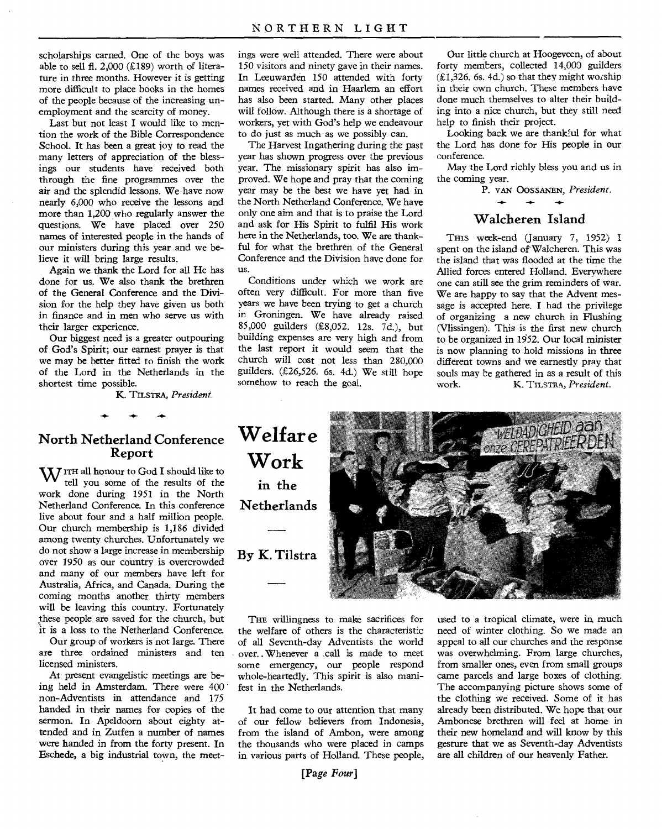scholarships earned. One of the boys was able to sell fl. 2,000 (£189) worth of literature in three months. However it is getting more difficult to place books in the homes of the people because of the increasing unemployment and the scarcity of money.

Last but not least I would like to mention the work of the Bible Correspondence School. It has been a great joy to read the many letters of appreciation of the blessings our students have received both through the fine programmes over the air and the splendid lessons. We have now nearly 6,000 who receive the lessons and more than 1,200 who regularly answer the questions. We- have placed over 250 names of interested people in the hands of our ministers during this year and we believe it will bring large results.

Again we thank the Lord for all He has done for us. We also thank the brethren of the General Conference and the Division for the help they have given us both in finance and in men who serve us with their larger experience.

Our biggest need is a greater outpouring of God's Spirit; our earnest prayer is that we may be better fitted to finish the work of the Lord in the Netherlands in the shortest time possible.

K. TILSTRA, *President.* 

#### North Netherland Conference Report

 $\bullet$ 

 $\rm W$ ITH all honour to God I should like to tell you some of the results of the work done during 1951 in the North Netherland Conference. In this conference live about four and a half million people. Our church membership is 1,186 divided among twenty churches. Unfortunately we do not show a large increase in membership over 1950 as our country is overcrowded and many of our members have left for Australia, Africa, and Canada. During the coming months another thirty members will be leaving this country. Fortunately these people are saved for the church, but it is a loss to the Netherland Conference.

Our group of workers is not large. There are three ordained ministers and ten licensed ministers.

At present evangelistic meetings are being held in Amsterdam. There were 400 non-Adventists in attendance and 175 handed in their names for copies of the sermon. In Apeldoorn about eighty attended and in Zutfen a number of names were handed in from the forty present. In Eschede, a big industrial town, the meetings were well attended. There were about 150 visitors and ninety gave in their names. In Leeuwarden 150 attended with forty names received and in Haarlem an effort has also been started. Many other places will follow. Although there is a shortage of workers, yet with God's help we endeavour to do just as much as we possibly can.

The Harvest Ingathering during the past year has shown progress over the previous year. The missionary spirit has also improved. We hope and pray that the coming year may be the best we have yet had in the North Netherland Conference. We have only one aim and that is to praise the Lord and ask for His Spirit to fulfil His work here in the Netherlands, too. We are thankful for what the brethren of the General Conference and the Division have done for us.

Conditions under which we work are often very difficult. For more than five years we have been trying to get a church in Groningen. We have already raised 85,000 guilders (£8,052. 12s. 7d.), but building expenses are very high and from the last report it would seem that the church will cost not less than 280,000 guilders. (£26,526. 6s. 4d.) We still hope somehow to reach the goal.

**Work** 

in the

Our little church at Hoogeveen, of about forty members, collected 14,000 guilders (£1,326. 6s. 4d.) so that they might worship in their own church. These members have done much themselves to alter their building into a nice church, but they still need help to finish their project.

Looking back we are thankful for what the Lord has done for His people in our conference.

May the Lord richly bless you and us in the coming year.

P. VAN OOSSANEN, *President.* 

#### $\bullet$

### Walcheren Island

THIS week-end (January *7,* 1952) I spent on the island of'Walcheren. This was the island that was flooded at the time the Allied forces entered Holland. Everywhere one can still see the grim reminders of war. We are happy to say that the Advent message is accepted here. I had the privilege of organizing a new church in Flushing (Vlissingen). This is the first new church to be organized in 1952. Our local minister is now planning to hold missions in three different towns and we earnestly pray that souls may be gathered in as a result of this work. K. TILSTRA, *President.* 



THE willingness to make sacrifices for the welfare of others is the characteristic of all Seventh-day Adventists the world over.. Whenever a call is made to meet some emergency, our people respond whole-heartedly. This spirit is also manifest in the Netherlands.

It had come to our attention that many of our fellow believers from Indonesia, from the island of Ambon, were among the thousands who were placed in camps in various parts of Holland. These people,

used to a tropical climate, were in much need of winter clothing. So we made an appeal to all our churches and the response was overwhelming. From large churches, from smaller ones, even from small groups came parcels and large boxes of clothing. The accompanying picture shows some of the clothing we received. Some of it has already been distributed. We hope that our Ambonese brethren will feel at home in their new homeland and will know by this gesture that we as Seventh-day Adventists are all children of our heavenly Father.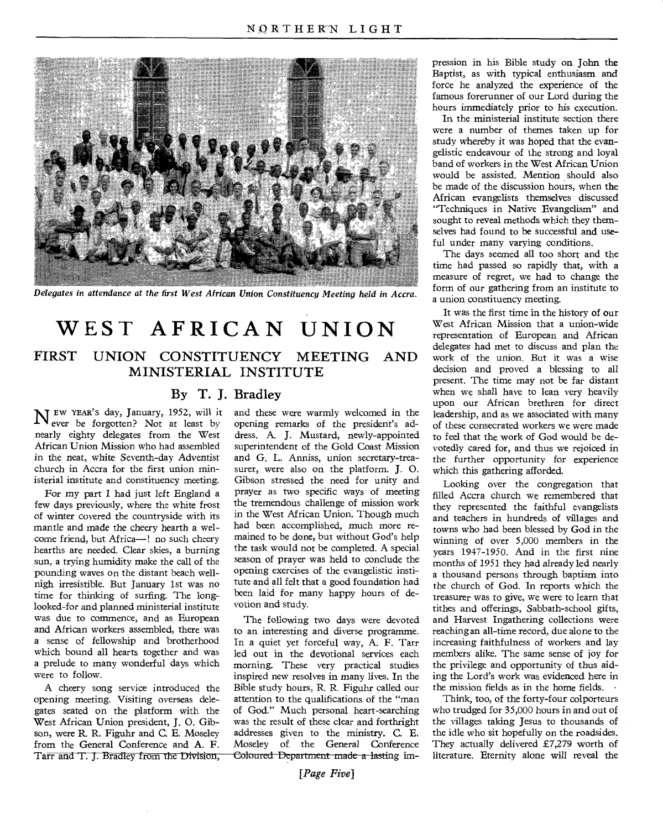

*Delegates in attendance at the first West African Union Constituency Meeting held in Accra.* 

# **WEST AFRICAN UNION**

### FIRST UNION CONSTITUENCY MEETING AND MINISTERIAL INSTITUTE

### By T. J. Bradley

N EW YEAR'S day, January, 1952, will it ever be forgotten? Not at least by ever be forgotten? Not at least by nearly eighty delegates from the West African Union Mission who had assembled in the neat, white Seventh-day Adventist church in Accra for the first union ministerial institute and constituency meeting.

For my part I had just left England a few days previously, where the white frost of winter covered the countryside with its mantle and made the cheery hearth a welcome friend, but Africa—! no such cheery hearths are needed. Clear skies, a burning sun, a trying humidity make the call of the pounding waves on the distant beach wellnigh irresistible. But January 1st was no time for thinking of surfing. The longlooked-for and planned ministerial institute was due to commence, and as European and African workers assembled, there was a sense of fellowship and brotherhood which bound all hearts together and was a prelude to many wonderful days which were to follow.

A cheery song service introduced the opening meeting. Visiting overseas delegates seated on the platform with the West African Union president, J. O. Gibson, were R. R. Figuhr and C. E. Moseley from the General Conference and A. F. Tarr and T. J. Bradley from the Division, and these were warmly welcomed in the opening remarks of the president's address. A. J. Mustard, newly-appointed superintendent of the Gold Coast Mission and *G.* L. Anniss, union secretary-treasurer, were also on the platform. J. 0. Gibson stressed the need for unity and prayer as two specific ways of meeting the tremendous challenge of mission work in the West African Union. Though much had been accomplished, much more remained to be done, but without God's help the task would not be completed. A special season of prayer was held to conclude the opening exercises of the evangelistic institute and all felt that a good foundation had been laid for many happy hours of devotion and study.

The following two days were devoted to an interesting and diverse programme. In a quiet yet forceful way, A. F. Tarr led out in the devotional services each morning. These very practical studies inspired new resolves in many lives. In the Bible study hours, R. R. Figuhr called our attention to the qualifications of the "man of God." Much personal heart-searching was the result of these clear and forthright addresses given to the ministry. C. E. Moseley of the General Conference Coloured Department made a lasting im-

*[Page Five]* 

pression in his Bible study on John the Baptist, as with typical enthusiasm and force he analyzed the experience of the famous forerunner of our Lord during the hours immediately prior to his execution.

In, the ministerial institute section there were a number of themes taken up for study whereby it was hoped that the evangelistic endeavour of the strong and loyal band of workers in the West African Union would be *assisted.* Mention should also be made of the discussion hours, when the African evangelists themselves discussed "Techniques in Native Evangelism" and sought to reveal methods which they themselves had found to be successful and useful under many varying conditions.

The days seemed all too short and the time had passed so rapidly that, with a measure of regret, we had to change the form of our gathering from an institute to a union constituency meeting.

It was the first time in the history of our West African Mission that a union-wide representation of European and African delegates had met to discuss and plan the work of the union. But it was a wise decision and proved a blessing to all present. The time may not be far distant when we shall have to lean very heavily upon our African brethren for direct leadership, and as we associated with many of these consecrated workers we were made to feel that the work of God would be devotedly cared for, and thus we rejoiced in the further opportunity for experience which this gathering afforded.

Looking over the congregation that filled Accra church we remembered that they represented the faithful evangelists and teachers in hundreds of villages and towns who had been blessed by God in the winning of over 5,000 members in the years 1947-1950. And in the first nine months of 1951 they had already led nearly a thousand persons through baptism into the church of God. In reports which the treasurer was to give, we were to learn that tithes and offerings, Sabbath-school gifts, and Harvest Ingathering collections were reaching an all-time record, due alone to the increasing faithfulness of workers and lay members alike. The same sense of joy for the privilege and opportunity of thus aiding the Lord's work was evidenced here in the mission fields as in the home fields. •

Think, too, of the forty-four colporteurs who trudged for 35,000 hours in and out of the villages taking Jesus to thousands of the idle who sit hopefully on the roadsides. They actually delivered £7,279 worth of literature. Eternity alone will reveal the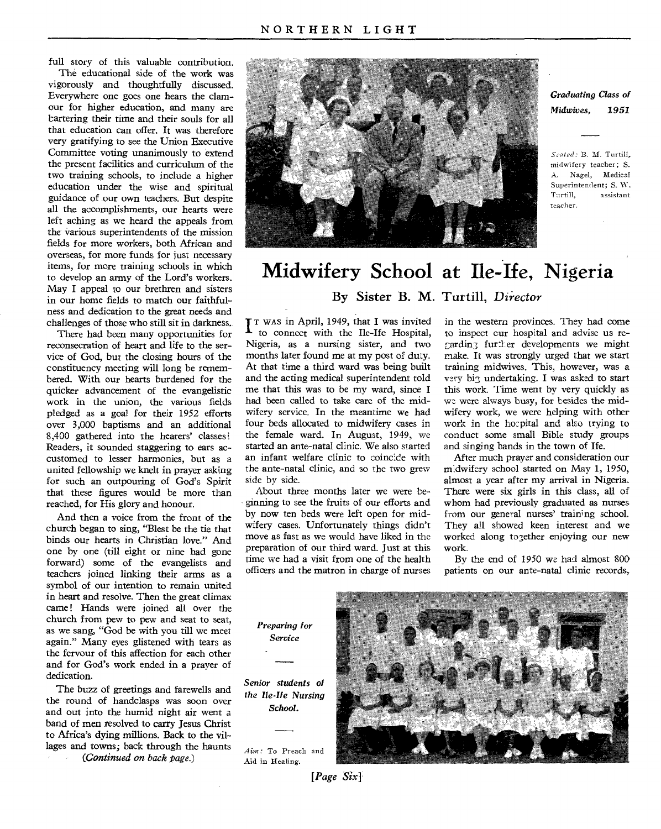full story of this valuable contribution.

The educational side of the work was vigorously and thoughtfully discussed. Everywhere one goes one hears the clamour for higher education, and many are bartering their time and their souls for all that education can offer. It was therefore very gratifying to see the Union Executive Committee voting unanimously to extend the present facilities and curriculum of the two training schools, to include a higher education under the wise and spiritual guidance of our own teachers. But despite all the accomplishments, our hearts were left aching as we heard the appeals from the various superintendents of the mission fields for more workers, both African and overseas, for more funds for just necessary items, for more training schools in which to develop an army of the Lord's workers. May I appeal to our brethren and sisters in our home fields to match our faithfulness and dedication to the great needs and challenges of those who still sit in darkness..

There had been many opportunities for reconsecration of heart and life to the service of God, but the closing hours of the constituency meeting will long be remembered. With our hearts burdened for the quicker advancement of the evangelistic work in the union, the various fields pledged as a goal for their 1952 efforts over 3,000 baptisms and an additional 8,400 gathered into the hearers' classes Readers, it sounded staggering to ears accustomed to lesser harmonies, but as a united fellowship we knelt in prayer asking for such an outpouring of God's Spirit that these figures would be more than reached, for His glory and honour.

And then a voice from the front of the church began to sing, "Blest be the tie that binds our hearts in Christian love." And one by one (till eight or nine had gone forward) some of the evangelists and teachers joined linking their arms as a symbol of our intention to remain united in heart and resolve. Then the great climax came! Hands were joined all over the church from pew to pew and seat to seat, as we sang, "God be with you till we meet again." Many eyes glistened with tears as the fervour of this affection for each other and for God's work ended in a prayer of dedication.

The buzz of greetings and farewells and the round of handclasps was soon over and out into the humid night air went a band of men resolved to carry Jesus Christ to Africa's dying millions. Back to the villages and towns; back through the haunts *(Continued on back page.)*   $\sim 10^{-11}$ 



*Graduating Class of Midwives, 1951* 

*Seated:* B. M. Turtill, midwifery teacher; S. A. Nagel, Medical Superintendent; S. W. Turtill. assistant teacher.

# **Midwifery School at Nigeria**

### By Sister B. M. Turtill, *Diector*

I<sup>T</sup> WAS in April, 1949, that I was invited to connect with the Ile-Ife Hospital, to connect with the Ile-Ife Hospital, Nigeria, as a nursing sister, and two months later found me at my post of duty. At that time a third ward was being built and the acting medical superintendent told me that this was to be my ward, since I had been called to take care of the midwifery service. In the meantime we had four beds allocated to midwifery cases in the female ward. In August, 1949, we started an ante-natal clinic. We also started an infant welfare clinic to coincide with the ante-natal clinic, and so the two grew side by side.

About three months later we were beginning to see the fruits of our efforts and by now ten beds were left open for midwifery cases. Unfortunately things didn't move as fast as we would have liked in the preparation of our third ward. Just at this time we had a visit from one of the health officers and the matron in charge of nurses

in the western provinces. They had come to inspect cur hospital and advise us rerarding further developments we might make. It was strongly urged that we start training midwives. This, however, was a very big undertaking. I was asked to start this work. Time went by very quickly as we were always busy, for besides the midwifery work, we were helping with other work in the hospital and also trying to conduct some small Bible study groups and singing bands in the town of Ife.

After much prayer and consideration our midwifery school started on May 1, 1950, almost a year after my arrival in Nigeria. There were six girls in this class, all of whom had previously graduated as nurses from our general nurses' training school. They all showed keen interest and we worked along together enjoying our new work.

By the end of 1950 we had almost 800 patients on our ante-natal clinic records,

*Preparing for Service* 

*Senior students of the Ile-Ife Nursing School.* 

*Aim :* To Preach and Aid in Healing,



*[Page Six]*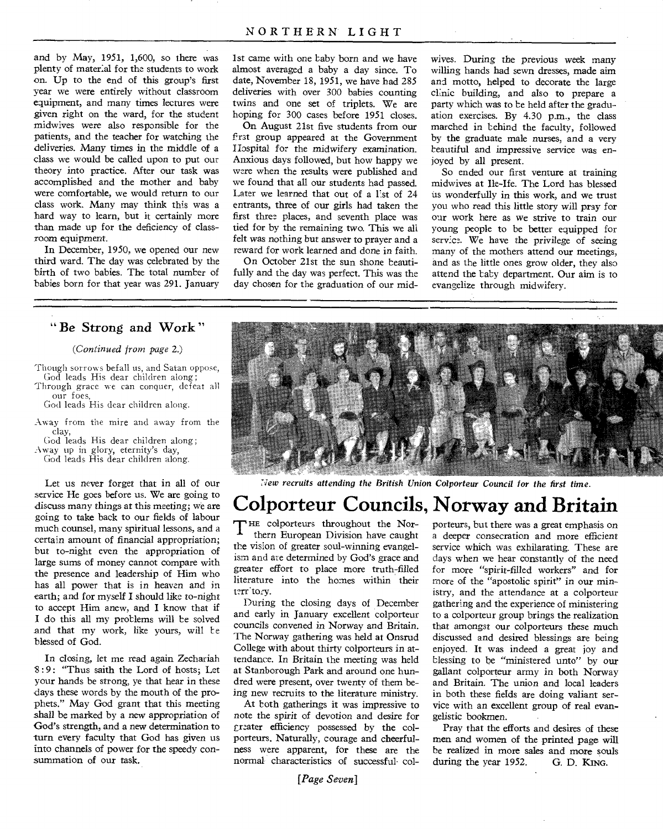and by May, 1951, 1,600, so there was plenty of material for the students to work on. Up to the end of this group's first year we were entirely without classroom equipment, and many times lectures were given right on the ward, for the student midwives were also responsible for the patients, and the teacher for watching the deliveries. Many times in the middle of a class we would be called upon to put our theory into practice. After our task was accomplished and the mother and baby were comfortable, we would return to our class work. Many may think this was a bard way to learn, but it certainly more than made up for the deficiency of classroom equipment.

In December, 1950, we opened our new third ward. The day was celebrated by the birth of two babies. The total number of babies born for that year was 291. January

1st came with one baby born and we have almost averaged a baby a day since. To date, November 18, 1951, we have had 285 deliveries with over 300 babies counting twins and one set of triplets. We are hoping for 300 cases before 1951 closes.

On August 21st five students from our first group appeared at the Government Hospital for the midwifery examination. Anxious days followed, but how happy we were when the results were published and we found that all our students had passed. Later we learned that out of a list of 24 entrants, three of our girls had taken the first three places, and seventh place was tied for by the remaining two. This we all felt was nothing but answer to prayer and a reward for work learned and done in faith.

On October 21st the sun shone beautifully and the day was perfect. This was the day chosen for the graduation of our mid-

wives. During the previous week many willing hands had sewn dresses, made aim and motto, helped to decorate the large clinic building, and also to prepare a party which was to be held after the graduation exercises. By 4.30 p.m., the class marched in behind the faculty, followed by the graduate male nurses, and a very beautiful and impressive service was enjoyed by all present.

So ended our first venture at training midwives at Ile-Ife. The Lord has blessed us wonderfully in this work, and we trust you who read this little story will pray for our work here as we strive to train our young people to be better equipped for service. We have the privilege of seeing many of the mothers attend our meetings, and as the little ones grow older, they also attend the baby department. Our aim is to evangelize through midwifery.

### " Be Strong and Work "

#### *(Continued from page* 2.)

Though sorrows befall us, and Satan oppose, God leads His dear children along; Through grace we can conquer, defeat all

- our foes, God leads His dear children along.
	-
- Away from the mire and away from the clay,
- God leads His dear children along ;

Away up in glory, eternity's day, God leads His dear children along.

Let us never forget that in all of our service He goes before us. We are going to discuss many things at this meeting; we are going to take back to our fields of labour much counsel, many spiritual lessons, and a certain amount of financial appropriation; but to-night even the appropriation of large sums of money cannot compare with the presence and leadership of Him who has all power that is in heaven and in earth; and for myself I should like to-night to accept Him anew, and I know that if I do this all my problems will be solved and that my work, like yours, will be blessed of God.

In closing, let me read again Zechariah S : 9 : "Thus saith the Lord of hosts; Let your hands be strong, ye that hear in these days these words by the mouth of the prophets." May God grant that this meeting shall be marked by a new appropriation of God's strength, and a new determination to turn every faculty that God has given us into channels of power for the speedy consummation of our task.



*.yew recruits attending the British Union Colporteur Council for the first time.* 

### **Colporteur Councils, Norway and Britain**

THE colporteurs throughout the Nor-<br>thern European Division have caught thern European Division have caught the vision of greater soul-winning evangelism and are determined by God's grace and greater effort to place more truth-filled literature into the homes within their terr' tory.

During the closing days of December and early in January excellent colporteur councils convened *in* Norway and Britain. The Norway gathering was held at Onsrud College with about thirty colporteurs in attendance. In Britain the meeting was held at Stanborough Park and around one hundred were present, over twenty of them being new recruits to the literature ministry.

At both gatherings it was impressive to note the spirit of devotion and desire for greater efficiency possessed by the colporteurs. Naturally, courage and cheerfulness were apparent, for these are the normal characteristics of successful- colporteurs, but there was a great emphasis on a deeper consecration and more efficient service which was exhilarating. These are days when we hear constantly of the need for more "spirit-filled workers" and for more of the "apostolic spirit" in our ministry, and the attendance at a colporteur gathering and the experience of ministering to a colporteur group brings the realization that amongst our colporteurs these much discussed and desired blessings are being enjoyed. It was indeed a great joy and blessing to be "ministered unto" by our gallant colporteur army in both Norway and Britain. The union and local leaders in both these fields are doing valiant service with an excellent group of real evangelistic bookmen.

Pray that the efforts and desires of these men and women of the printed page will be realized in more sales and more souls during the year 1952. G. D. KING.